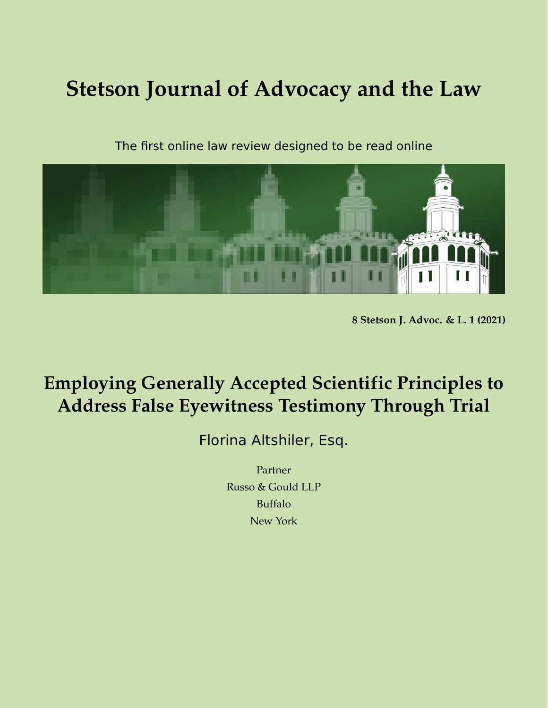# **Stetson Journal of Advocacy and the Law**

The first online law review designed to be read online



**8 Stetson J. Advoc. & L. 1 (2021)**

# **Employing Generally Accepted Scientific Principles to Address False Eyewitness Testimony Through Trial**

Florina Altshiler, Esq.

Partner Russo & Gould LLP Buffalo New York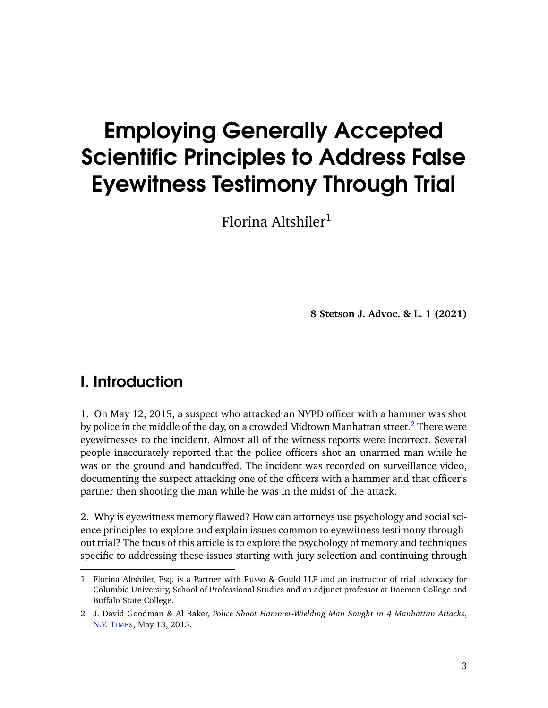# Employing Generally Accepted Scientific Principles to Address False Eyewitness Testimony Through Trial

Florina Altshiler $1$ 

**8 Stetson J. Advoc. & L. 1 (2021)**

## I. Introduction

1. On May 12, 2015, a suspect who attacked an NYPD officer with a hammer was shot by police in the middle of the day, on a crowded Midtown Manhattan street.<sup>[2](#page-2-0)</sup> There were eyewitnesses to the incident. Almost all of the witness reports were incorrect. Several people inaccurately reported that the police officers shot an unarmed man while he was on the ground and handcuffed. The incident was recorded on surveillance video, documenting the suspect attacking one of the officers with a hammer and that officer's partner then shooting the man while he was in the midst of the attack.

2. Why is eyewitness memory flawed? How can attorneys use psychology and social science principles to explore and explain issues common to eyewitness testimony throughout trial? The focus of this article is to explore the psychology of memory and techniques specific to addressing these issues starting with jury selection and continuing through

<sup>1</sup> Florina Altshiler, Esq. is a Partner with Russo & Gould LLP and an instructor of trial advocacy for Columbia University, School of Professional Studies and an adjunct professor at Daemen College and Buffalo State College.

<span id="page-2-0"></span><sup>2</sup> J. David Goodman & Al Baker, *Police Shoot Hammer-Wielding Man Sought in 4 Manhattan Attacks*, [N.Y. T](https://www.nytimes.com/2015/05/14/nyregion/officer-shoots-man-in-midtown-manhattan.html)IMES, May 13, 2015.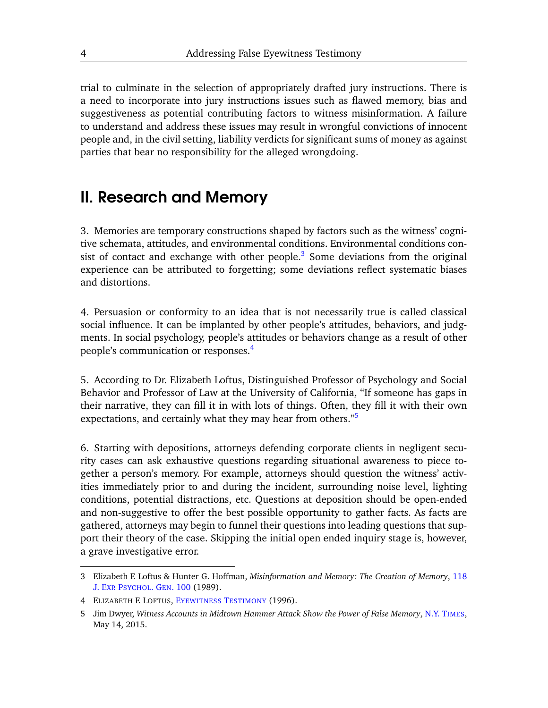trial to culminate in the selection of appropriately drafted jury instructions. There is a need to incorporate into jury instructions issues such as flawed memory, bias and suggestiveness as potential contributing factors to witness misinformation. A failure to understand and address these issues may result in wrongful convictions of innocent people and, in the civil setting, liability verdicts for significant sums of money as against parties that bear no responsibility for the alleged wrongdoing.

### II. Research and Memory

3. Memories are temporary constructions shaped by factors such as the witness' cognitive schemata, attitudes, and environmental conditions. Environmental conditions con-sist of contact and exchange with other people.<sup>[3](#page-3-0)</sup> Some deviations from the original experience can be attributed to forgetting; some deviations reflect systematic biases and distortions.

4. Persuasion or conformity to an idea that is not necessarily true is called classical social influence. It can be implanted by other people's attitudes, behaviors, and judgments. In social psychology, people's attitudes or behaviors change as a result of other people's communication or responses.[4](#page-3-1)

5. According to Dr. Elizabeth Loftus, Distinguished Professor of Psychology and Social Behavior and Professor of Law at the University of California, "If someone has gaps in their narrative, they can fill it in with lots of things. Often, they fill it with their own expectations, and certainly what they may hear from others."<sup>[5](#page-3-2)</sup>

6. Starting with depositions, attorneys defending corporate clients in negligent security cases can ask exhaustive questions regarding situational awareness to piece together a person's memory. For example, attorneys should question the witness' activities immediately prior to and during the incident, surrounding noise level, lighting conditions, potential distractions, etc. Questions at deposition should be open-ended and non-suggestive to offer the best possible opportunity to gather facts. As facts are gathered, attorneys may begin to funnel their questions into leading questions that support their theory of the case. Skipping the initial open ended inquiry stage is, however, a grave investigative error.

<span id="page-3-0"></span><sup>3</sup> Elizabeth F. Loftus & Hunter G. Hoffman, *Misinformation and Memory: The Creation of Memory*, [118](https://www.semanticscholar.org/paper/Misinformation-and-memory%3A-the-creation-of-new-Loftus-Hoffman/4633fa4d948d8a0364ec3060c0b215fed0455685) J. EXP. P[SYCHOL](https://www.semanticscholar.org/paper/Misinformation-and-memory%3A-the-creation-of-new-Loftus-Hoffman/4633fa4d948d8a0364ec3060c0b215fed0455685). GEN. 100 (1989).

<span id="page-3-1"></span><sup>4</sup> ELIZABETH F. LOFTUS, E[YEWITNESS](https://www.google.com/books/edition/Eyewitness_Testimony/uBlAU24-qsoC?hl=en&gbpv=1) TESTIMONY (1996).

<span id="page-3-2"></span><sup>5</sup> Jim Dwyer, *Witness Accounts in Midtown Hammer Attack Show the Power of False Memory*, [N.Y. T](https://www.nytimes.com/2015/05/15/nyregion/witness-accounts-in-midtown-hammer-attack-show-the-power-of-false-memory.html)IMES, May 14, 2015.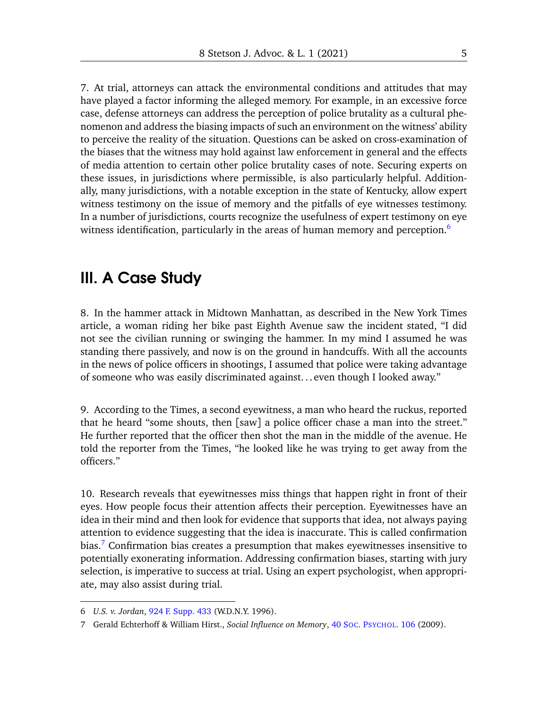7. At trial, attorneys can attack the environmental conditions and attitudes that may have played a factor informing the alleged memory. For example, in an excessive force case, defense attorneys can address the perception of police brutality as a cultural phenomenon and address the biasing impacts of such an environment on the witness' ability to perceive the reality of the situation. Questions can be asked on cross-examination of the biases that the witness may hold against law enforcement in general and the effects of media attention to certain other police brutality cases of note. Securing experts on these issues, in jurisdictions where permissible, is also particularly helpful. Additionally, many jurisdictions, with a notable exception in the state of Kentucky, allow expert witness testimony on the issue of memory and the pitfalls of eye witnesses testimony. In a number of jurisdictions, courts recognize the usefulness of expert testimony on eye witness identification, particularly in the areas of human memory and perception.<sup>[6](#page-4-0)</sup>

#### III. A Case Study

8. In the hammer attack in Midtown Manhattan, as described in the New York Times article, a woman riding her bike past Eighth Avenue saw the incident stated, "I did not see the civilian running or swinging the hammer. In my mind I assumed he was standing there passively, and now is on the ground in handcuffs. With all the accounts in the news of police officers in shootings, I assumed that police were taking advantage of someone who was easily discriminated against. . . even though I looked away."

9. According to the Times, a second eyewitness, a man who heard the ruckus, reported that he heard "some shouts, then [saw] a police officer chase a man into the street." He further reported that the officer then shot the man in the middle of the avenue. He told the reporter from the Times, "he looked like he was trying to get away from the officers."

10. Research reveals that eyewitnesses miss things that happen right in front of their eyes. How people focus their attention affects their perception. Eyewitnesses have an idea in their mind and then look for evidence that supports that idea, not always paying attention to evidence suggesting that the idea is inaccurate. This is called confirmation bias.<sup>[7](#page-4-1)</sup> Confirmation bias creates a presumption that makes eyewitnesses insensitive to potentially exonerating information. Addressing confirmation biases, starting with jury selection, is imperative to success at trial. Using an expert psychologist, when appropriate, may also assist during trial.

<span id="page-4-0"></span><sup>6</sup> *U.S. v. Jordan*, [924 F. Supp. 433](https://law.justia.com/cases/federal/district-courts/FSupp/924/443/1471686/) (W.D.N.Y. 1996).

<span id="page-4-1"></span><sup>7</sup> Gerald Echterhoff & William Hirst., *Social Influence on Memory*, 40 SOC. P[SYCHOL](https://www.researchgate.net/publication/232436825_Social_Influence_on_Memory). 106 (2009).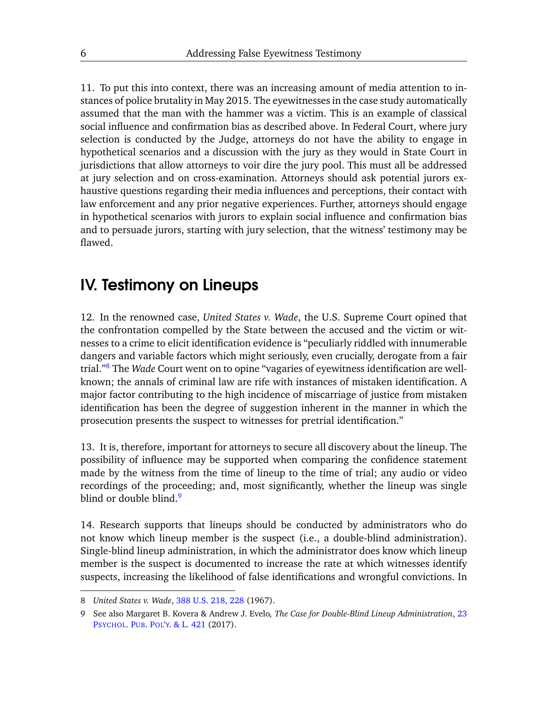11. To put this into context, there was an increasing amount of media attention to instances of police brutality in May 2015. The eyewitnesses in the case study automatically assumed that the man with the hammer was a victim. This is an example of classical social influence and confirmation bias as described above. In Federal Court, where jury selection is conducted by the Judge, attorneys do not have the ability to engage in hypothetical scenarios and a discussion with the jury as they would in State Court in jurisdictions that allow attorneys to voir dire the jury pool. This must all be addressed at jury selection and on cross-examination. Attorneys should ask potential jurors exhaustive questions regarding their media influences and perceptions, their contact with law enforcement and any prior negative experiences. Further, attorneys should engage in hypothetical scenarios with jurors to explain social influence and confirmation bias and to persuade jurors, starting with jury selection, that the witness' testimony may be flawed.

#### IV. Testimony on Lineups

12. In the renowned case, *United States v. Wade*, the U.S. Supreme Court opined that the confrontation compelled by the State between the accused and the victim or witnesses to a crime to elicit identification evidence is "peculiarly riddled with innumerable dangers and variable factors which might seriously, even crucially, derogate from a fair trial."[8](#page-5-0) The *Wade* Court went on to opine "vagaries of eyewitness identification are wellknown; the annals of criminal law are rife with instances of mistaken identification. A major factor contributing to the high incidence of miscarriage of justice from mistaken identification has been the degree of suggestion inherent in the manner in which the prosecution presents the suspect to witnesses for pretrial identification."

13. It is, therefore, important for attorneys to secure all discovery about the lineup. The possibility of influence may be supported when comparing the confidence statement made by the witness from the time of lineup to the time of trial; any audio or video recordings of the proceeding; and, most significantly, whether the lineup was single blind or double blind.<sup>[9](#page-5-1)</sup>

14. Research supports that lineups should be conducted by administrators who do not know which lineup member is the suspect (i.e., a double-blind administration). Single-blind lineup administration, in which the administrator does know which lineup member is the suspect is documented to increase the rate at which witnesses identify suspects, increasing the likelihood of false identifications and wrongful convictions. In

<span id="page-5-0"></span><sup>8</sup> *United States v. Wade*, [388 U.S. 218, 228](https://scholar.google.com/scholar_case?case=2405096012715955489&q=388+us+218&hl=en&as_sdt=40006) (1967).

<span id="page-5-1"></span><sup>9</sup> See also Margaret B. Kovera & Andrew J. Evelo*, The Case for Double-Blind Lineup Administration*, [23](https://www.researchgate.net/publication/318250014_The_Case_for_Double-Blind_Lineup_Administration) PSYCHOL. PUB. POL'Y[. & L. 421](https://www.researchgate.net/publication/318250014_The_Case_for_Double-Blind_Lineup_Administration) (2017).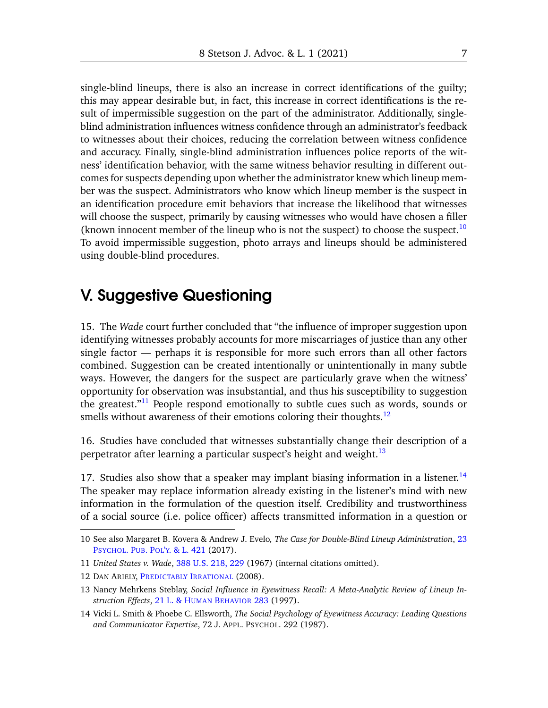single-blind lineups, there is also an increase in correct identifications of the guilty; this may appear desirable but, in fact, this increase in correct identifications is the result of impermissible suggestion on the part of the administrator. Additionally, singleblind administration influences witness confidence through an administrator's feedback to witnesses about their choices, reducing the correlation between witness confidence and accuracy. Finally, single-blind administration influences police reports of the witness' identification behavior, with the same witness behavior resulting in different outcomes for suspects depending upon whether the administrator knew which lineup member was the suspect. Administrators who know which lineup member is the suspect in an identification procedure emit behaviors that increase the likelihood that witnesses will choose the suspect, primarily by causing witnesses who would have chosen a filler (known innocent member of the lineup who is not the suspect) to choose the suspect.<sup>[10](#page-6-0)</sup> To avoid impermissible suggestion, photo arrays and lineups should be administered using double-blind procedures.

#### V. Suggestive Questioning

15. The *Wade* court further concluded that "the influence of improper suggestion upon identifying witnesses probably accounts for more miscarriages of justice than any other single factor — perhaps it is responsible for more such errors than all other factors combined. Suggestion can be created intentionally or unintentionally in many subtle ways. However, the dangers for the suspect are particularly grave when the witness' opportunity for observation was insubstantial, and thus his susceptibility to suggestion the greatest." $11$  People respond emotionally to subtle cues such as words, sounds or smells without awareness of their emotions coloring their thoughts.<sup>[12](#page-6-2)</sup>

16. Studies have concluded that witnesses substantially change their description of a perpetrator after learning a particular suspect's height and weight.<sup>[13](#page-6-3)</sup>

17. Studies also show that a speaker may implant biasing information in a listener.<sup>[14](#page-6-4)</sup> The speaker may replace information already existing in the listener's mind with new information in the formulation of the question itself. Credibility and trustworthiness of a social source (i.e. police officer) affects transmitted information in a question or

<span id="page-6-0"></span><sup>10</sup> See also Margaret B. Kovera & Andrew J. Evelo*, The Case for Double-Blind Lineup Administration*, [23](https://www.researchgate.net/publication/318250014_The_Case_for_Double-Blind_Lineup_Administration) PSYCHOL. PUB. POL'Y[. & L. 421](https://www.researchgate.net/publication/318250014_The_Case_for_Double-Blind_Lineup_Administration) (2017).

<span id="page-6-1"></span><sup>11</sup> *United States v. Wade*, [388 U.S. 218, 229](https://scholar.google.com/scholar_case?case=2405096012715955489&q=388+us+218&hl=en&as_sdt=40006) (1967) (internal citations omitted).

<span id="page-6-2"></span><sup>12</sup> DAN ARIELY, P[REDICTABLY](http://radio.shabanali.com/predictable.pdf) IRRATIONAL (2008).

<span id="page-6-3"></span><sup>13</sup> Nancy Mehrkens Steblay, *Social Influence in Eyewitness Recall: A Meta-Analytic Review of Lineup Instruction Effects*, [21 L. & H](https://www.researchgate.net/publication/226899714_Social_Influence_in_Eyewitness_Recall_A_Meta-Analytic_Review_of_Lineup_Instruction_Effects)UMAN BEHAVIOR 283 (1997).

<span id="page-6-4"></span><sup>14</sup> Vicki L. Smith & Phoebe C. Ellsworth, *The Social Psychology of Eyewitness Accuracy: Leading Questions and Communicator Expertise*, 72 J. APPL. PSYCHOL. 292 (1987).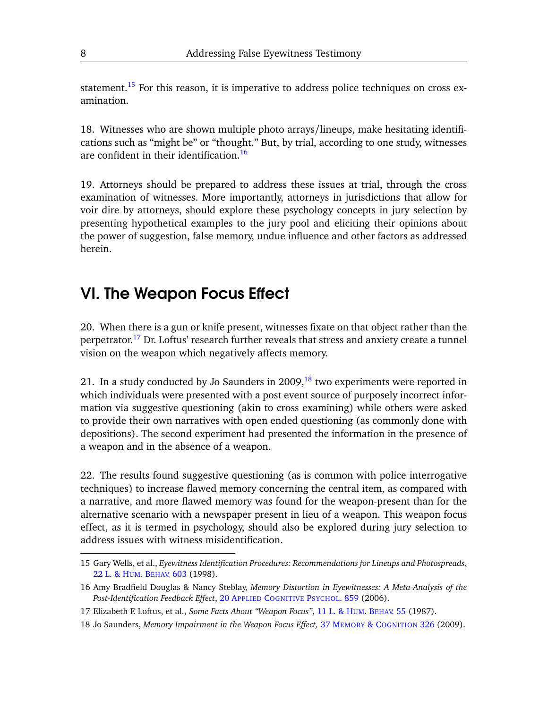statement.<sup>[15](#page-7-0)</sup> For this reason, it is imperative to address police techniques on cross examination.

18. Witnesses who are shown multiple photo arrays/lineups, make hesitating identifications such as "might be" or "thought." But, by trial, according to one study, witnesses are confident in their identification.<sup>[16](#page-7-1)</sup>

19. Attorneys should be prepared to address these issues at trial, through the cross examination of witnesses. More importantly, attorneys in jurisdictions that allow for voir dire by attorneys, should explore these psychology concepts in jury selection by presenting hypothetical examples to the jury pool and eliciting their opinions about the power of suggestion, false memory, undue influence and other factors as addressed herein.

## VI. The Weapon Focus Effect

20. When there is a gun or knife present, witnesses fixate on that object rather than the perpetrator.<sup>[17](#page-7-2)</sup> Dr. Loftus' research further reveals that stress and anxiety create a tunnel vision on the weapon which negatively affects memory.

21. In a study conducted by Jo Saunders in 2009, $^{18}$  $^{18}$  $^{18}$  two experiments were reported in which individuals were presented with a post event source of purposely incorrect information via suggestive questioning (akin to cross examining) while others were asked to provide their own narratives with open ended questioning (as commonly done with depositions). The second experiment had presented the information in the presence of a weapon and in the absence of a weapon.

22. The results found suggestive questioning (as is common with police interrogative techniques) to increase flawed memory concerning the central item, as compared with a narrative, and more flawed memory was found for the weapon-present than for the alternative scenario with a newspaper present in lieu of a weapon. This weapon focus effect, as it is termed in psychology, should also be explored during jury selection to address issues with witness misidentification.

<span id="page-7-0"></span><sup>15</sup> Gary Wells, et al., *Eyewitness Identification Procedures: Recommendations for Lineups and Photospreads*, [22 L. & H](https://www.researchgate.net/publication/228845143_Eyewitness_Identification_Procedures_Recommendations_for_Lineups_and_Photospreads)UM. BEHAV. 603 (1998).

<span id="page-7-1"></span><sup>16</sup> Amy Bradfield Douglas & Nancy Steblay, *Memory Distortion in Eyewitnesses: A Meta-Analysis of the Post-Identification Feedback Effect*, 20 APPLIED C[OGNITIVE](https://www.researchgate.net/publication/227871876_Memory_distortion_in_eyewitnesses_A_meta-analysis_of_the_post-identification_feedback_effect) PSYCHOL. 859 (2006).

<span id="page-7-2"></span><sup>17</sup> Elizabeth F. Loftus, et al., *Some Facts About "Weapon Focus"*, [11 L. & H](https://www.researchgate.net/publication/263938255_Some_facts_about_weapon_focus)UM. BEHAV. 55 (1987).

<span id="page-7-3"></span><sup>18</sup> Jo Saunders, *Memory Impairment in the Weapon Focus Effect,* 37 MEMORY & C[OGNITION](https://www.researchgate.net/publication/24043600_Memory_impairment_in_the_weapon_focus_effect) 326 (2009).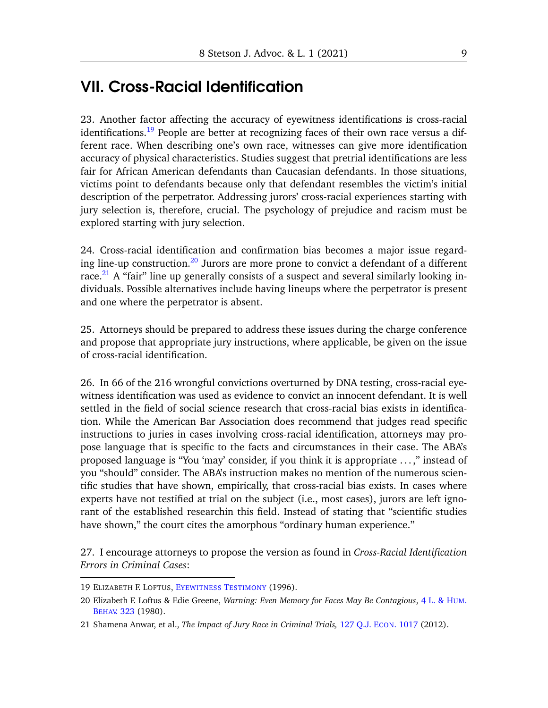# VII. Cross-Racial Identification

23. Another factor affecting the accuracy of eyewitness identifications is cross-racial identifications.<sup>[19](#page-8-0)</sup> People are better at recognizing faces of their own race versus a different race. When describing one's own race, witnesses can give more identification accuracy of physical characteristics. Studies suggest that pretrial identifications are less fair for African American defendants than Caucasian defendants. In those situations, victims point to defendants because only that defendant resembles the victim's initial description of the perpetrator. Addressing jurors' cross-racial experiences starting with jury selection is, therefore, crucial. The psychology of prejudice and racism must be explored starting with jury selection.

24. Cross-racial identification and confirmation bias becomes a major issue regard-ing line-up construction.<sup>[20](#page-8-1)</sup> Jurors are more prone to convict a defendant of a different race.<sup>[21](#page-8-2)</sup> A "fair" line up generally consists of a suspect and several similarly looking individuals. Possible alternatives include having lineups where the perpetrator is present and one where the perpetrator is absent.

25. Attorneys should be prepared to address these issues during the charge conference and propose that appropriate jury instructions, where applicable, be given on the issue of cross-racial identification.

26. In 66 of the 216 wrongful convictions overturned by DNA testing, cross-racial eyewitness identification was used as evidence to convict an innocent defendant. It is well settled in the field of social science research that cross-racial bias exists in identification. While the American Bar Association does recommend that judges read specific instructions to juries in cases involving cross-racial identification, attorneys may propose language that is specific to the facts and circumstances in their case. The ABA's proposed language is "You 'may' consider, if you think it is appropriate . . . ," instead of you "should" consider. The ABA's instruction makes no mention of the numerous scientific studies that have shown, empirically, that cross-racial bias exists. In cases where experts have not testified at trial on the subject (i.e., most cases), jurors are left ignorant of the established researchin this field. Instead of stating that "scientific studies have shown," the court cites the amorphous "ordinary human experience."

27. I encourage attorneys to propose the version as found in *Cross-Racial Identification Errors in Criminal Cases*:

<span id="page-8-0"></span><sup>19</sup> ELIZABETH F. LOFTUS, E[YEWITNESS](https://www.google.com/books/edition/Eyewitness_Testimony/uBlAU24-qsoC?hl=en&gbpv=1) TESTIMONY (1996).

<span id="page-8-1"></span><sup>20</sup> Elizabeth F. Loftus & Edie Greene, *Warning: Even Memory for Faces May Be Contagious*, [4 L. & H](https://www.researchgate.net/publication/225844913_Warning_even_memory_for_faces_may_be_contagious_Law_and_Human_Behavior_4_323-334)UM. BEHAV[. 323](https://www.researchgate.net/publication/225844913_Warning_even_memory_for_faces_may_be_contagious_Law_and_Human_Behavior_4_323-334) (1980).

<span id="page-8-2"></span><sup>21</sup> Shamena Anwar, et al., *The Impact of Jury Race in Criminal Trials,* [127 Q.J. E](https://academic.oup.com/qje/article/127/2/1017/1826107)CON. 1017 (2012).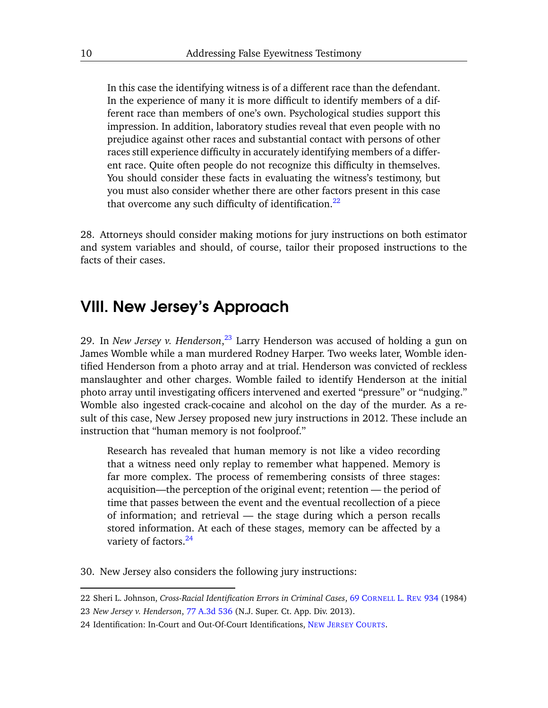In this case the identifying witness is of a different race than the defendant. In the experience of many it is more difficult to identify members of a different race than members of one's own. Psychological studies support this impression. In addition, laboratory studies reveal that even people with no prejudice against other races and substantial contact with persons of other races still experience difficulty in accurately identifying members of a different race. Quite often people do not recognize this difficulty in themselves. You should consider these facts in evaluating the witness's testimony, but you must also consider whether there are other factors present in this case that overcome any such difficulty of identification.<sup>[22](#page-9-0)</sup>

28. Attorneys should consider making motions for jury instructions on both estimator and system variables and should, of course, tailor their proposed instructions to the facts of their cases.

#### VIII. New Jersey's Approach

29. In *New Jersey v. Henderson*, [23](#page-9-1) Larry Henderson was accused of holding a gun on James Womble while a man murdered Rodney Harper. Two weeks later, Womble identified Henderson from a photo array and at trial. Henderson was convicted of reckless manslaughter and other charges. Womble failed to identify Henderson at the initial photo array until investigating officers intervened and exerted "pressure" or "nudging." Womble also ingested crack-cocaine and alcohol on the day of the murder. As a result of this case, New Jersey proposed new jury instructions in 2012. These include an instruction that "human memory is not foolproof."

Research has revealed that human memory is not like a video recording that a witness need only replay to remember what happened. Memory is far more complex. The process of remembering consists of three stages: acquisition—the perception of the original event; retention — the period of time that passes between the event and the eventual recollection of a piece of information; and retrieval — the stage during which a person recalls stored information. At each of these stages, memory can be affected by a variety of factors.<sup>[24](#page-9-2)</sup>

30. New Jersey also considers the following jury instructions:

<span id="page-9-1"></span><span id="page-9-0"></span><sup>22</sup> Sheri L. Johnson, *Cross-Racial Identification Errors in Criminal Cases*, 69 C[ORNELL](https://scholarship.law.cornell.edu/cgi/viewcontent.cgi?article=4357&context=clr) L. REV. 934 (1984) 23 *New Jersey v. Henderson*, [77 A.3d 536](https://scholar.google.com/scholar_case?case=17095163042376779041&q=77+a3d+536&hl=en&as_sdt=40006) (N.J. Super. Ct. App. Div. 2013).

<span id="page-9-2"></span><sup>24</sup> Identification: In-Court and Out-Of-Court Identifications, NEW JERSEY C[OURTS](https://www.njcourts.gov/attorneys/assets/criminalcharges/idinout.pdf).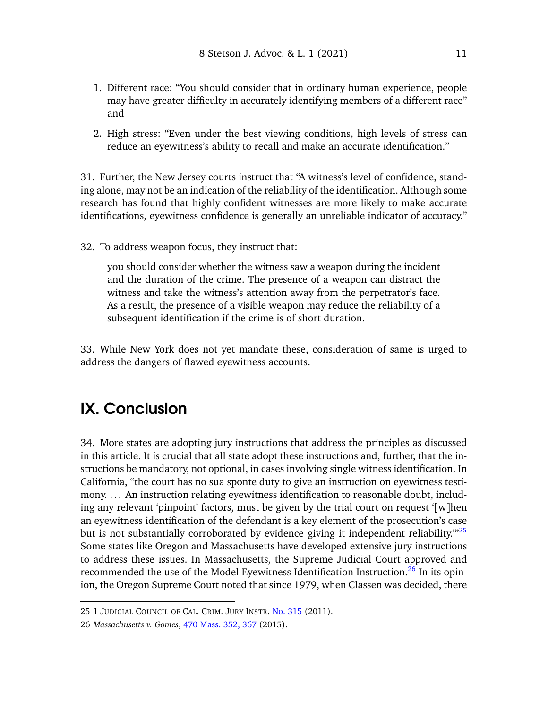- 1. Different race: "You should consider that in ordinary human experience, people may have greater difficulty in accurately identifying members of a different race" and
- 2. High stress: "Even under the best viewing conditions, high levels of stress can reduce an eyewitness's ability to recall and make an accurate identification."

31. Further, the New Jersey courts instruct that "A witness's level of confidence, standing alone, may not be an indication of the reliability of the identification. Although some research has found that highly confident witnesses are more likely to make accurate identifications, eyewitness confidence is generally an unreliable indicator of accuracy."

32. To address weapon focus, they instruct that:

you should consider whether the witness saw a weapon during the incident and the duration of the crime. The presence of a weapon can distract the witness and take the witness's attention away from the perpetrator's face. As a result, the presence of a visible weapon may reduce the reliability of a subsequent identification if the crime is of short duration.

33. While New York does not yet mandate these, consideration of same is urged to address the dangers of flawed eyewitness accounts.

#### IX. Conclusion

34. More states are adopting jury instructions that address the principles as discussed in this article. It is crucial that all state adopt these instructions and, further, that the instructions be mandatory, not optional, in cases involving single witness identification. In California, "the court has no sua sponte duty to give an instruction on eyewitness testimony. ... An instruction relating eyewitness identification to reasonable doubt, including any relevant 'pinpoint' factors, must be given by the trial court on request '[w]hen an eyewitness identification of the defendant is a key element of the prosecution's case but is not substantially corroborated by evidence giving it independent reliability.<sup>35</sup> Some states like Oregon and Massachusetts have developed extensive jury instructions to address these issues. In Massachusetts, the Supreme Judicial Court approved and recommended the use of the Model Eyewitness Identification Instruction.<sup>[26](#page-10-1)</sup> In its opinion, the Oregon Supreme Court noted that since 1979, when Classen was decided, there

<span id="page-10-0"></span><sup>25 1</sup> JUDICIAL COUNCIL OF CAL. CRIM. JURY INSTR. [No. 315](https://www.justia.com/criminal/docs/calcrim/300/315/) (2011).

<span id="page-10-1"></span><sup>26</sup> *Massachusetts v. Gomes*, [470 Mass. 352, 367](https://scholar.google.com/scholar_case?case=16595572923506487805&q=470+Mass.+352&hl=en&as_sdt=40006) (2015).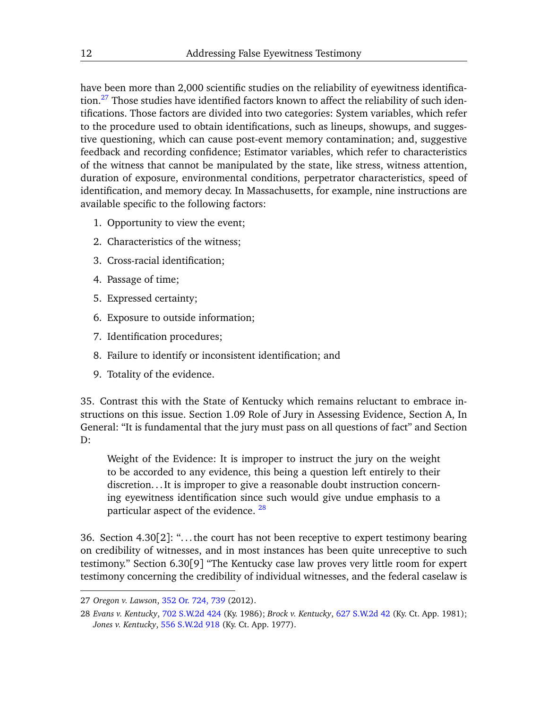have been more than 2,000 scientific studies on the reliability of eyewitness identifica-tion.<sup>[27](#page-11-0)</sup> Those studies have identified factors known to affect the reliability of such identifications. Those factors are divided into two categories: System variables, which refer to the procedure used to obtain identifications, such as lineups, showups, and suggestive questioning, which can cause post-event memory contamination; and, suggestive feedback and recording confidence; Estimator variables, which refer to characteristics of the witness that cannot be manipulated by the state, like stress, witness attention, duration of exposure, environmental conditions, perpetrator characteristics, speed of identification, and memory decay. In Massachusetts, for example, nine instructions are available specific to the following factors:

- 1. Opportunity to view the event;
- 2. Characteristics of the witness;
- 3. Cross-racial identification;
- 4. Passage of time;
- 5. Expressed certainty;
- 6. Exposure to outside information;
- 7. Identification procedures;
- 8. Failure to identify or inconsistent identification; and
- 9. Totality of the evidence.

35. Contrast this with the State of Kentucky which remains reluctant to embrace instructions on this issue. Section 1.09 Role of Jury in Assessing Evidence, Section A, In General: "It is fundamental that the jury must pass on all questions of fact" and Section D:

Weight of the Evidence: It is improper to instruct the jury on the weight to be accorded to any evidence, this being a question left entirely to their discretion. . . It is improper to give a reasonable doubt instruction concerning eyewitness identification since such would give undue emphasis to a particular aspect of the evidence.  $^{28}$  $^{28}$  $^{28}$ 

36. Section 4.30[2]: ". . . the court has not been receptive to expert testimony bearing on credibility of witnesses, and in most instances has been quite unreceptive to such testimony." Section 6.30[9] "The Kentucky case law proves very little room for expert testimony concerning the credibility of individual witnesses, and the federal caselaw is

<span id="page-11-0"></span><sup>27</sup> *Oregon v. Lawson*, [352 Or. 724, 739](https://scholar.google.com/scholar_case?case=13868935655718877167&q=352+Or.+724&hl=en&as_sdt=40006) (2012).

<span id="page-11-1"></span><sup>28</sup> *Evans v. Kentucky*, [702 S.W.2d 424](https://scholar.google.com/scholar_case?case=2183640114031919069&q=702+S.W.2d+424&hl=en&as_sdt=40006) (Ky. 1986); *Brock v. Kentucky*, [627 S.W.2d 42](https://scholar.google.com/scholar_case?case=11492353919388260355&q=627+S.W.2d+42&hl=en&as_sdt=40006) (Ky. Ct. App. 1981); *Jones v. Kentucky*, [556 S.W.2d 918](https://scholar.google.com/scholar_case?case=10449550653538475155&q=556+S.W.2d+918&hl=en&as_sdt=40006) (Ky. Ct. App. 1977).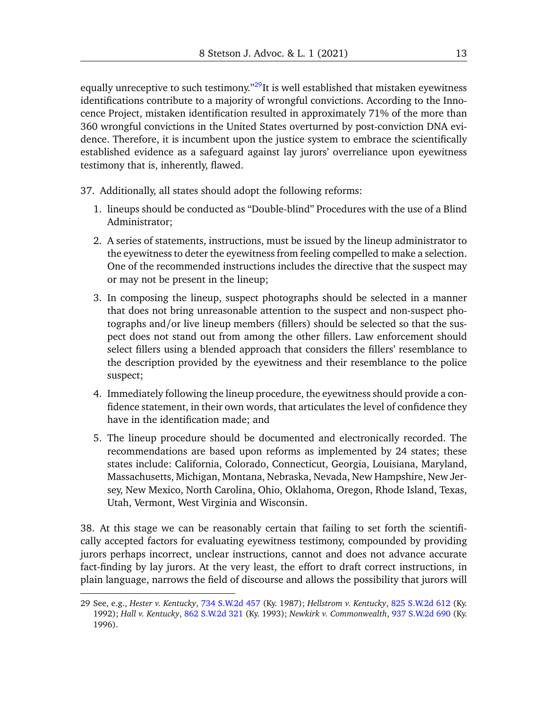equally unreceptive to such testimony.<sup> $n29$  $n29$ </sup>It is well established that mistaken eyewitness identifications contribute to a majority of wrongful convictions. According to the Innocence Project, mistaken identification resulted in approximately 71% of the more than 360 wrongful convictions in the United States overturned by post-conviction DNA evidence. Therefore, it is incumbent upon the justice system to embrace the scientifically established evidence as a safeguard against lay jurors' overreliance upon eyewitness testimony that is, inherently, flawed.

- 37. Additionally, all states should adopt the following reforms:
	- 1. lineups should be conducted as "Double-blind" Procedures with the use of a Blind Administrator;
	- 2. A series of statements, instructions, must be issued by the lineup administrator to the eyewitness to deter the eyewitness from feeling compelled to make a selection. One of the recommended instructions includes the directive that the suspect may or may not be present in the lineup;
	- 3. In composing the lineup, suspect photographs should be selected in a manner that does not bring unreasonable attention to the suspect and non-suspect photographs and/or live lineup members (fillers) should be selected so that the suspect does not stand out from among the other fillers. Law enforcement should select fillers using a blended approach that considers the fillers' resemblance to the description provided by the eyewitness and their resemblance to the police suspect;
	- 4. Immediately following the lineup procedure, the eyewitness should provide a confidence statement, in their own words, that articulates the level of confidence they have in the identification made; and
	- 5. The lineup procedure should be documented and electronically recorded. The recommendations are based upon reforms as implemented by 24 states; these states include: California, Colorado, Connecticut, Georgia, Louisiana, Maryland, Massachusetts, Michigan, Montana, Nebraska, Nevada, New Hampshire, New Jersey, New Mexico, North Carolina, Ohio, Oklahoma, Oregon, Rhode Island, Texas, Utah, Vermont, West Virginia and Wisconsin.

38. At this stage we can be reasonably certain that failing to set forth the scientifically accepted factors for evaluating eyewitness testimony, compounded by providing jurors perhaps incorrect, unclear instructions, cannot and does not advance accurate fact-finding by lay jurors. At the very least, the effort to draft correct instructions, in plain language, narrows the field of discourse and allows the possibility that jurors will

<span id="page-12-0"></span><sup>29</sup> See, e.g., *Hester v. Kentucky*, [734 S.W.2d 457](https://scholar.google.com/scholar_case?case=15229748841762768403&q=734+S.W.2d+457&hl=en&as_sdt=40006) (Ky. 1987); *Hellstrom v. Kentucky*, [825 S.W.2d 612](https://scholar.google.com/scholar_case?case=6830768993008678021&q=825+S.W.2d+612&hl=en&as_sdt=40006) (Ky. 1992); *Hall v. Kentucky*, [862 S.W.2d 321](https://scholar.google.com/scholar_case?case=13630215887000136132&q=862+S.W.2d+321&hl=en&as_sdt=40006) (Ky. 1993); *Newkirk v. Commonwealth*, [937 S.W.2d 690](https://scholar.google.com/scholar_case?case=4605870219094413105&q=937+S.W.2d+690&hl=en&as_sdt=40006) (Ky. 1996).